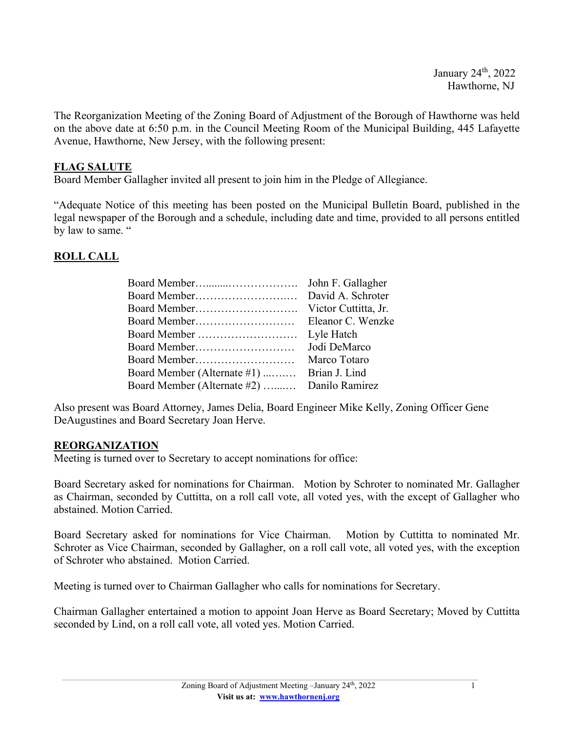The Reorganization Meeting of the Zoning Board of Adjustment of the Borough of Hawthorne was held on the above date at 6:50 p.m. in the Council Meeting Room of the Municipal Building, 445 Lafayette Avenue, Hawthorne, New Jersey, with the following present:

## **FLAG SALUTE**

Board Member Gallagher invited all present to join him in the Pledge of Allegiance.

"Adequate Notice of this meeting has been posted on the Municipal Bulletin Board, published in the legal newspaper of the Borough and a schedule, including date and time, provided to all persons entitled by law to same. "

## **ROLL CALL**

| John F. Gallagher                           |
|---------------------------------------------|
| David A. Schroter                           |
| Victor Cuttitta, Jr.                        |
| Eleanor C. Wenzke                           |
| Lyle Hatch                                  |
| Jodi DeMarco                                |
| Marco Totaro                                |
| Brian J. Lind                               |
| Board Member (Alternate #2)  Danilo Ramirez |
|                                             |

Also present was Board Attorney, James Delia, Board Engineer Mike Kelly, Zoning Officer Gene DeAugustines and Board Secretary Joan Herve.

### **REORGANIZATION**

Meeting is turned over to Secretary to accept nominations for office:

Board Secretary asked for nominations for Chairman. Motion by Schroter to nominated Mr. Gallagher as Chairman, seconded by Cuttitta, on a roll call vote, all voted yes, with the except of Gallagher who abstained. Motion Carried.

Board Secretary asked for nominations for Vice Chairman. Motion by Cuttitta to nominated Mr. Schroter as Vice Chairman, seconded by Gallagher, on a roll call vote, all voted yes, with the exception of Schroter who abstained. Motion Carried.

Meeting is turned over to Chairman Gallagher who calls for nominations for Secretary.

Chairman Gallagher entertained a motion to appoint Joan Herve as Board Secretary; Moved by Cuttitta seconded by Lind, on a roll call vote, all voted yes. Motion Carried.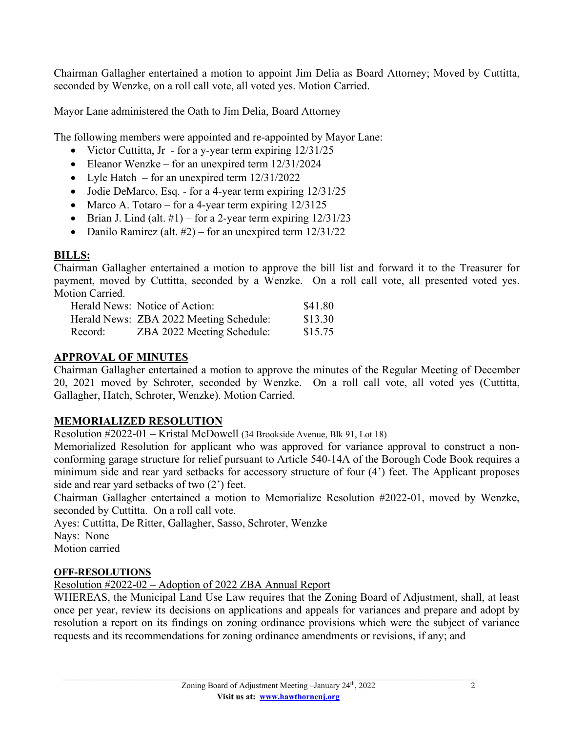Chairman Gallagher entertained a motion to appoint Jim Delia as Board Attorney; Moved by Cuttitta, seconded by Wenzke, on a roll call vote, all voted yes. Motion Carried.

Mayor Lane administered the Oath to Jim Delia, Board Attorney

The following members were appointed and re-appointed by Mayor Lane:

- Victor Cuttitta, Jr for a y-year term expiring  $12/31/25$
- Eleanor Wenzke for an unexpired term  $12/31/2024$
- Lyle Hatch for an unexpired term  $12/31/2022$
- Jodie DeMarco, Esq. for a 4-year term expiring  $12/31/25$
- Marco A. Totaro for a 4-year term expiring 12/3125
- Brian J. Lind (alt.  $\#1$ ) for a 2-year term expiring  $12/31/23$
- Danilo Ramirez (alt.  $#2$ ) for an unexpired term  $12/31/22$

# **BILLS:**

Chairman Gallagher entertained a motion to approve the bill list and forward it to the Treasurer for payment, moved by Cuttitta, seconded by a Wenzke. On a roll call vote, all presented voted yes. Motion Carried.

|         | Herald News: Notice of Action:          | \$41.80 |
|---------|-----------------------------------------|---------|
|         | Herald News: ZBA 2022 Meeting Schedule: | \$13.30 |
| Record: | ZBA 2022 Meeting Schedule:              | \$15.75 |

# **APPROVAL OF MINUTES**

Chairman Gallagher entertained a motion to approve the minutes of the Regular Meeting of December 20, 2021 moved by Schroter, seconded by Wenzke. On a roll call vote, all voted yes (Cuttitta, Gallagher, Hatch, Schroter, Wenzke). Motion Carried.

# **MEMORIALIZED RESOLUTION**

Resolution #2022-01 – Kristal McDowell (34 Brookside Avenue, Blk 91, Lot 18)

Memorialized Resolution for applicant who was approved for variance approval to construct a nonconforming garage structure for relief pursuant to Article 540-14A of the Borough Code Book requires a minimum side and rear yard setbacks for accessory structure of four (4') feet. The Applicant proposes side and rear yard setbacks of two (2') feet.

Chairman Gallagher entertained a motion to Memorialize Resolution #2022-01, moved by Wenzke, seconded by Cuttitta. On a roll call vote.

Ayes: Cuttitta, De Ritter, Gallagher, Sasso, Schroter, Wenzke Nays: None Motion carried

# **OFF-RESOLUTIONS**

Resolution #2022-02 – Adoption of 2022 ZBA Annual Report

WHEREAS, the Municipal Land Use Law requires that the Zoning Board of Adjustment, shall, at least once per year, review its decisions on applications and appeals for variances and prepare and adopt by resolution a report on its findings on zoning ordinance provisions which were the subject of variance requests and its recommendations for zoning ordinance amendments or revisions, if any; and